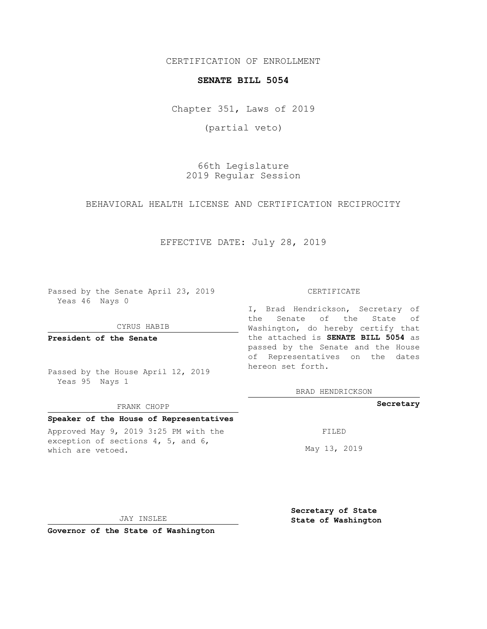CERTIFICATION OF ENROLLMENT

#### **SENATE BILL 5054**

Chapter 351, Laws of 2019

(partial veto)

66th Legislature 2019 Regular Session

BEHAVIORAL HEALTH LICENSE AND CERTIFICATION RECIPROCITY

## EFFECTIVE DATE: July 28, 2019

Passed by the Senate April 23, 2019 Yeas 46 Nays 0

#### CYRUS HABIB

**President of the Senate**

Passed by the House April 12, 2019 Yeas 95 Nays 1

#### FRANK CHOPP

#### **Speaker of the House of Representatives**

Approved May 9, 2019 3:25 PM with the exception of sections 4, 5, and 6, which are vetoed.

CERTIFICATE

I, Brad Hendrickson, Secretary of the Senate of the State of Washington, do hereby certify that the attached is **SENATE BILL 5054** as passed by the Senate and the House of Representatives on the dates hereon set forth.

BRAD HENDRICKSON

### **Secretary**

FILED

May 13, 2019

JAY INSLEE

**Governor of the State of Washington**

**Secretary of State State of Washington**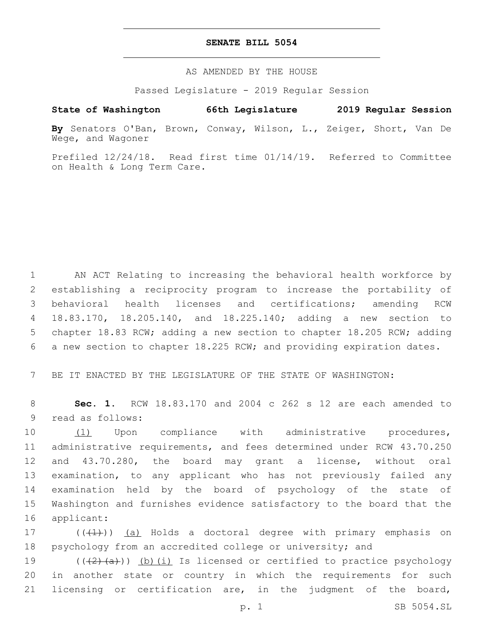### **SENATE BILL 5054**

AS AMENDED BY THE HOUSE

Passed Legislature - 2019 Regular Session

# **State of Washington 66th Legislature 2019 Regular Session**

**By** Senators O'Ban, Brown, Conway, Wilson, L., Zeiger, Short, Van De Wege, and Wagoner

Prefiled 12/24/18. Read first time 01/14/19. Referred to Committee on Health & Long Term Care.

 AN ACT Relating to increasing the behavioral health workforce by establishing a reciprocity program to increase the portability of behavioral health licenses and certifications; amending RCW 18.83.170, 18.205.140, and 18.225.140; adding a new section to chapter 18.83 RCW; adding a new section to chapter 18.205 RCW; adding a new section to chapter 18.225 RCW; and providing expiration dates.

7 BE IT ENACTED BY THE LEGISLATURE OF THE STATE OF WASHINGTON:

8 **Sec. 1.** RCW 18.83.170 and 2004 c 262 s 12 are each amended to 9 read as follows:

10 (1) Upon compliance with administrative procedures, administrative requirements, and fees determined under RCW 43.70.250 and 43.70.280, the board may grant a license, without oral examination, to any applicant who has not previously failed any examination held by the board of psychology of the state of Washington and furnishes evidence satisfactory to the board that the 16 applicant:

17 (((+1)) (a) Holds a doctoral degree with primary emphasis on 18 psychology from an accredited college or university; and

19 (((<del>(2)(a)</del>)) <u>(b)(i)</u> Is licensed or certified to practice psychology 20 in another state or country in which the requirements for such 21 licensing or certification are, in the judgment of the board,

p. 1 SB 5054.SL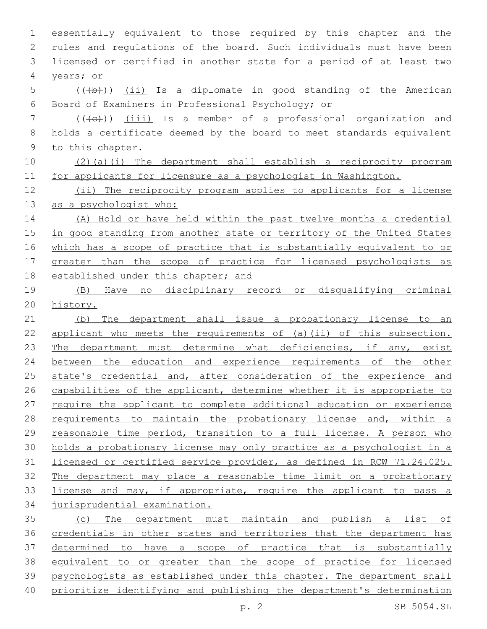essentially equivalent to those required by this chapter and the rules and regulations of the board. Such individuals must have been licensed or certified in another state for a period of at least two 4 vears; or 5 (((b))) (ii) Is a diplomate in good standing of the American 6 Board of Examiners in Professional Psychology; or (( $\left(\left\{\epsilon\right\}\right)$ ) (iii) Is a member of a professional organization and holds a certificate deemed by the board to meet standards equivalent 9 to this chapter. (2)(a)(i) The department shall establish a reciprocity program for applicants for licensure as a psychologist in Washington. 12 (ii) The reciprocity program applies to applicants for a license 13 as a psychologist who: (A) Hold or have held within the past twelve months a credential in good standing from another state or territory of the United States which has a scope of practice that is substantially equivalent to or greater than the scope of practice for licensed psychologists as 18 established under this chapter; and (B) Have no disciplinary record or disqualifying criminal history. (b) The department shall issue a probationary license to an applicant who meets the requirements of (a)(ii) of this subsection. 23 The department must determine what deficiencies, if any, exist between the education and experience requirements of the other 25 state's credential and, after consideration of the experience and 26 capabilities of the applicant, determine whether it is appropriate to 27 require the applicant to complete additional education or experience 28 requirements to maintain the probationary license and, within a reasonable time period, transition to a full license. A person who holds a probationary license may only practice as a psychologist in a licensed or certified service provider, as defined in RCW 71.24.025. The department may place a reasonable time limit on a probationary 33 license and may, if appropriate, require the applicant to pass a jurisprudential examination. (c) The department must maintain and publish a list of credentials in other states and territories that the department has 37 determined to have a scope of practice that is substantially equivalent to or greater than the scope of practice for licensed psychologists as established under this chapter. The department shall

prioritize identifying and publishing the department's determination

p. 2 SB 5054.SL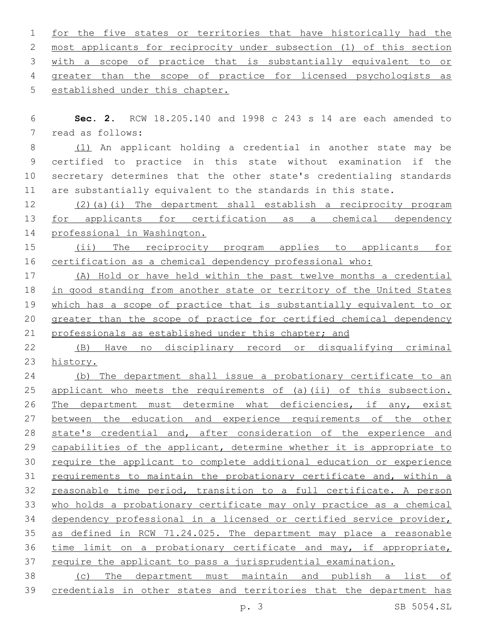for the five states or territories that have historically had the most applicants for reciprocity under subsection (1) of this section with a scope of practice that is substantially equivalent to or greater than the scope of practice for licensed psychologists as 5 established under this chapter.

 **Sec. 2.** RCW 18.205.140 and 1998 c 243 s 14 are each amended to 7 read as follows:

 (1) An applicant holding a credential in another state may be certified to practice in this state without examination if the secretary determines that the other state's credentialing standards are substantially equivalent to the standards in this state.

 (2)(a)(i) The department shall establish a reciprocity program 13 for applicants for certification as a chemical dependency professional in Washington.

15 (ii) The reciprocity program applies to applicants for certification as a chemical dependency professional who:

 (A) Hold or have held within the past twelve months a credential in good standing from another state or territory of the United States which has a scope of practice that is substantially equivalent to or greater than the scope of practice for certified chemical dependency professionals as established under this chapter; and

 (B) Have no disciplinary record or disqualifying criminal history.

 (b) The department shall issue a probationary certificate to an 25 applicant who meets the requirements of (a)(ii) of this subsection. The department must determine what deficiencies, if any, exist 27 between the education and experience requirements of the other state's credential and, after consideration of the experience and 29 capabilities of the applicant, determine whether it is appropriate to require the applicant to complete additional education or experience requirements to maintain the probationary certificate and, within a reasonable time period, transition to a full certificate. A person who holds a probationary certificate may only practice as a chemical dependency professional in a licensed or certified service provider, as defined in RCW 71.24.025. The department may place a reasonable time limit on a probationary certificate and may, if appropriate, require the applicant to pass a jurisprudential examination. (c) The department must maintain and publish a list of

credentials in other states and territories that the department has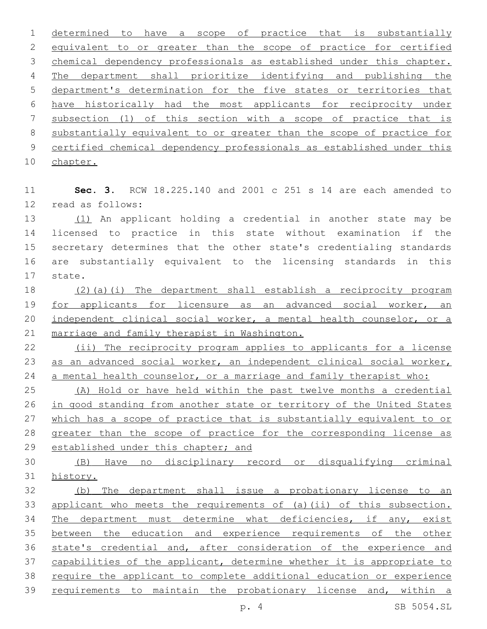determined to have a scope of practice that is substantially equivalent to or greater than the scope of practice for certified 3 chemical dependency professionals as established under this chapter. The department shall prioritize identifying and publishing the department's determination for the five states or territories that have historically had the most applicants for reciprocity under subsection (1) of this section with a scope of practice that is substantially equivalent to or greater than the scope of practice for certified chemical dependency professionals as established under this

10 chapter.

 **Sec. 3.** RCW 18.225.140 and 2001 c 251 s 14 are each amended to 12 read as follows:

 (1) An applicant holding a credential in another state may be licensed to practice in this state without examination if the secretary determines that the other state's credentialing standards are substantially equivalent to the licensing standards in this 17 state.

 (2)(a)(i) The department shall establish a reciprocity program 19 for applicants for licensure as an advanced social worker, an independent clinical social worker, a mental health counselor, or a marriage and family therapist in Washington.

22 (ii) The reciprocity program applies to applicants for a license 23 as an advanced social worker, an independent clinical social worker, 24 a mental health counselor, or a marriage and family therapist who:

 (A) Hold or have held within the past twelve months a credential in good standing from another state or territory of the United States which has a scope of practice that is substantially equivalent to or greater than the scope of practice for the corresponding license as established under this chapter; and

 (B) Have no disciplinary record or disqualifying criminal history.

 (b) The department shall issue a probationary license to an applicant who meets the requirements of (a)(ii) of this subsection. The department must determine what deficiencies, if any, exist between the education and experience requirements of the other state's credential and, after consideration of the experience and capabilities of the applicant, determine whether it is appropriate to require the applicant to complete additional education or experience requirements to maintain the probationary license and, within a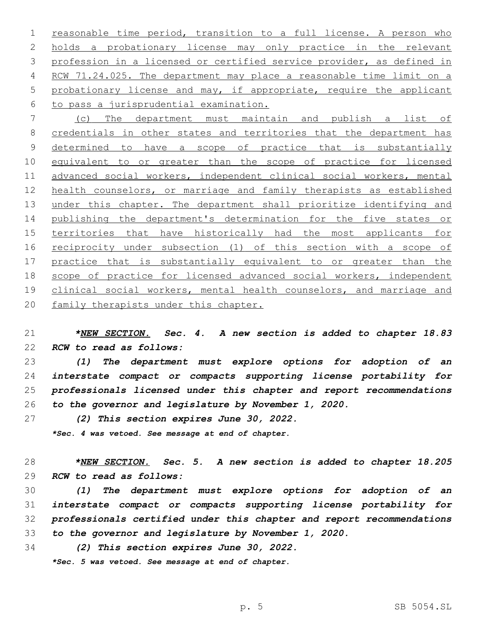1 reasonable time period, transition to a full license. A person who holds a probationary license may only practice in the relevant profession in a licensed or certified service provider, as defined in RCW 71.24.025. The department may place a reasonable time limit on a 5 probationary license and may, if appropriate, require the applicant 6 to pass a jurisprudential examination.

 (c) The department must maintain and publish a list of 8 credentials in other states and territories that the department has 9 determined to have a scope of practice that is substantially 10 equivalent to or greater than the scope of practice for licensed advanced social workers, independent clinical social workers, mental health counselors, or marriage and family therapists as established under this chapter. The department shall prioritize identifying and publishing the department's determination for the five states or territories that have historically had the most applicants for 16 reciprocity under subsection (1) of this section with a scope of practice that is substantially equivalent to or greater than the scope of practice for licensed advanced social workers, independent 19 clinical social workers, mental health counselors, and marriage and 20 family therapists under this chapter.

 *\*NEW SECTION. Sec. 4. A new section is added to chapter 18.83 RCW to read as follows:*

 *(1) The department must explore options for adoption of an interstate compact or compacts supporting license portability for professionals licensed under this chapter and report recommendations to the governor and legislature by November 1, 2020.*

 *(2) This section expires June 30, 2022. \*Sec. 4 was vetoed. See message at end of chapter.*

 *\*NEW SECTION. Sec. 5. A new section is added to chapter 18.205 RCW to read as follows:*

 *(1) The department must explore options for adoption of an interstate compact or compacts supporting license portability for professionals certified under this chapter and report recommendations to the governor and legislature by November 1, 2020.*

*(2) This section expires June 30, 2022.*

*\*Sec. 5 was vetoed. See message at end of chapter.*